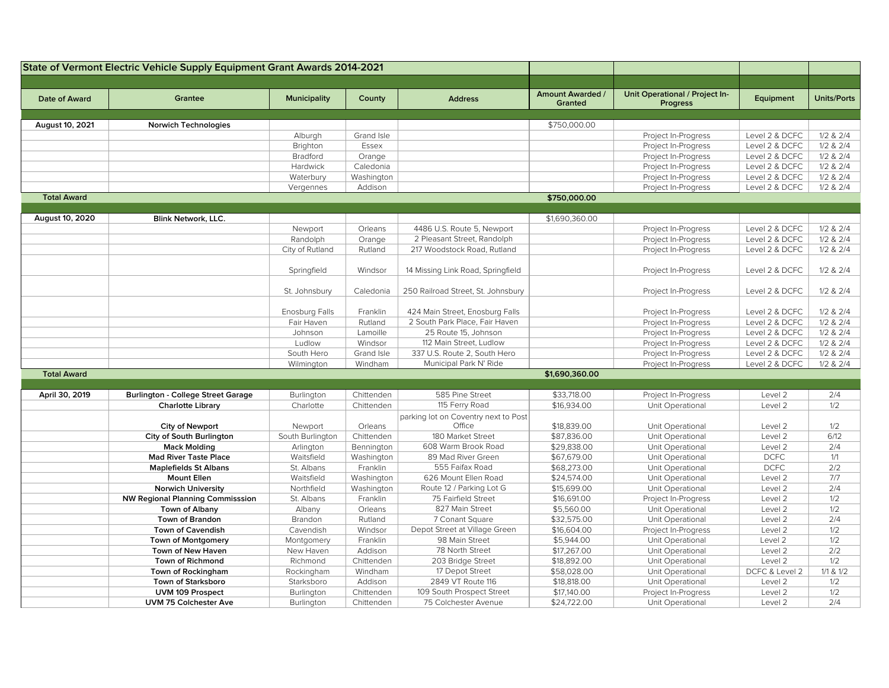|                    | State of Vermont Electric Vehicle Supply Equipment Grant Awards 2014-2021 |                         |                     |                                                  |                                           |                                                   |                    |                       |
|--------------------|---------------------------------------------------------------------------|-------------------------|---------------------|--------------------------------------------------|-------------------------------------------|---------------------------------------------------|--------------------|-----------------------|
| Date of Award      | Grantee                                                                   | <b>Municipality</b>     | County              | <b>Address</b>                                   | <b>Amount Awarded /</b><br><b>Granted</b> | Unit Operational / Project In-<br><b>Progress</b> | Equipment          | <b>Units/Ports</b>    |
| August 10, 2021    | Norwich Technologies                                                      |                         |                     |                                                  | \$750,000.00                              |                                                   |                    |                       |
|                    |                                                                           | Alburgh                 | Grand Isle          |                                                  |                                           | Project In-Progress                               | Level 2 & DCFC     | $1/2$ & $2/4$         |
|                    |                                                                           | Brighton                | Essex               |                                                  |                                           | Project In-Progress                               | Level 2 & DCFC     | $1/2$ & $2/4$         |
|                    |                                                                           | <b>Bradford</b>         | Orange              |                                                  |                                           | Project In-Progress                               | Level 2 & DCFC     | $1/2$ & $2/4$         |
|                    |                                                                           | Hardwick                | Caledonia           |                                                  |                                           | Project In-Progress                               | Level 2 & DCFC     | $1/2$ & $2/4$         |
|                    |                                                                           | Waterbury               | Washington          |                                                  |                                           | Project In-Progress                               | Level 2 & DCFC     | $1/2$ & $2/4$         |
|                    |                                                                           | Vergennes               | Addison             |                                                  |                                           | Project In-Progress                               | Level 2 & DCFC     | $1/2$ & $2/4$         |
| <b>Total Award</b> |                                                                           |                         |                     |                                                  | \$750,000.00                              |                                                   |                    |                       |
|                    |                                                                           |                         |                     |                                                  |                                           |                                                   |                    |                       |
| August 10, 2020    | <b>Blink Network, LLC.</b>                                                |                         |                     |                                                  | \$1,690,360.00                            |                                                   |                    |                       |
|                    |                                                                           | Newport                 | Orleans             | 4486 U.S. Route 5, Newport                       |                                           | Project In-Progress                               | Level 2 & DCFC     | $1/2$ & $2/4$         |
|                    |                                                                           | Randolph                | Orange              | 2 Pleasant Street, Randolph                      |                                           | Project In-Progress                               | Level 2 & DCFC     | $1/2$ & $2/4$         |
|                    |                                                                           | City of Rutland         | Rutland             | 217 Woodstock Road, Rutland                      |                                           | Project In-Progress                               | Level 2 & DCFC     | $1/2$ & $2/4$         |
|                    |                                                                           | Springfield             | Windsor             | 14 Missing Link Road, Springfield                |                                           | Project In-Progress                               | Level 2 & DCFC     | $1/2$ & $2/4$         |
|                    |                                                                           | St. Johnsbury           | Caledonia           | 250 Railroad Street, St. Johnsbury               |                                           | Project In-Progress                               | Level 2 & DCFC     | $1/2$ & $2/4$         |
|                    |                                                                           | Enosburg Falls          | Franklin            | 424 Main Street, Enosburg Falls                  |                                           | Project In-Progress                               | Level 2 & DCFC     | $1/2$ & $2/4$         |
|                    |                                                                           | Fair Haven              | Rutland             | 2 South Park Place, Fair Haven                   |                                           | Project In-Progress                               | Level 2 & DCFC     | $1/2$ & $2/4$         |
|                    |                                                                           | Johnson                 | Lamoille            | 25 Route 15, Johnson                             |                                           | Project In-Progress                               | Level 2 & DCFC     | $1/2$ & $2/4$         |
|                    |                                                                           | Ludlow                  | Windsor             | 112 Main Street, Ludlow                          |                                           | Project In-Progress                               | Level 2 & DCFC     | $1/2$ & $2/4$         |
|                    |                                                                           | South Hero              | Grand Isle          | 337 U.S. Route 2, South Hero                     |                                           | Project In-Progress                               | Level 2 & DCFC     | $1/2$ & $2/4$         |
|                    |                                                                           | Wilmington              | Windham             | Municipal Park N' Ride                           |                                           | Project In-Progress                               | Level 2 & DCFC     | $1/2$ & $2/4$         |
| <b>Total Award</b> |                                                                           |                         |                     |                                                  | \$1,690,360.00                            |                                                   |                    |                       |
|                    |                                                                           |                         |                     |                                                  |                                           |                                                   |                    |                       |
| April 30, 2019     | <b>Burlington - College Street Garage</b>                                 | Burlington              | Chittenden          | 585 Pine Street                                  | \$33,718.00                               | Project In-Progress                               | Level 2            | 2/4                   |
|                    | <b>Charlotte Library</b>                                                  | Charlotte               | Chittenden          | 115 Ferry Road                                   | \$16,934.00                               | Unit Operational                                  | Level 2            | 1/2                   |
|                    |                                                                           |                         |                     | parking lot on Coventry next to Post             |                                           |                                                   |                    |                       |
|                    | <b>City of Newport</b>                                                    | Newport                 | Orleans             | Office                                           | \$18,839.00                               | Unit Operational                                  | Level 2            | 1/2                   |
|                    | City of South Burlington                                                  | South Burlington        | Chittenden          | 180 Market Street                                | \$87,836.00                               | Unit Operational                                  | Level 2            | 6/12                  |
|                    | <b>Mack Molding</b>                                                       | Arlington               | Bennington          | 608 Warm Brook Road                              | \$29,838.00                               | Unit Operational                                  | Level 2            | 2/4                   |
|                    | <b>Mad River Taste Place</b>                                              | Waitsfield              | Washington          | 89 Mad River Green                               | \$67,679.00                               | Unit Operational                                  | <b>DCFC</b>        | 1/1                   |
|                    | <b>Maplefields St Albans</b>                                              | St. Albans              | Franklin            | 555 Faifax Road                                  | \$68,273.00                               | Unit Operational                                  | <b>DCFC</b>        | 2/2                   |
|                    | <b>Mount Ellen</b>                                                        | Waitsfield              | Washington          | 626 Mount Ellen Road                             | \$24,574.00                               | Unit Operational                                  | Level 2            | 7/7                   |
|                    | <b>Norwich University</b>                                                 | Northfield              | Washington          | Route 12 / Parking Lot G                         | \$15,699.00                               | Unit Operational                                  | Level 2            | 2/4                   |
|                    | <b>NW Regional Planning Commisssion</b>                                   | St. Albans              | Franklin            | 75 Fairfield Street<br>827 Main Street           | \$16,691.00<br>\$5,560.00                 | Project In-Progress                               | Level 2            | 1/2<br>1/2            |
|                    | <b>Town of Albany</b><br>Town of Brandon                                  | Albany                  | Orleans             |                                                  |                                           | Unit Operational                                  | Level 2            | 2/4                   |
|                    |                                                                           | Brandon                 | Rutland             | 7 Conant Square<br>Depot Street at Village Green | \$32,575.00<br>\$16,604.00                | Unit Operational                                  | Level 2            | 1/2                   |
|                    | <b>Town of Cavendish</b><br>Town of Montgomery                            | Cavendish<br>Montgomery | Windsor<br>Franklin | 98 Main Street                                   | \$5,944.00                                | Project In-Progress<br>Unit Operational           | Level 2<br>Level 2 | 1/2                   |
|                    | Town of New Haven                                                         | New Haven               | Addison             | 78 North Street                                  | \$17,267.00                               | Unit Operational                                  | Level 2            | 2/2                   |
|                    | Town of Richmond                                                          | Richmond                | Chittenden          | 203 Bridge Street                                | \$18,892.00                               | Unit Operational                                  | Level 2            | 1/2                   |
|                    | Town of Rockingham                                                        | Rockingham              | Windham             | 17 Depot Street                                  | \$58,028.00                               | Unit Operational                                  | DCFC & Level 2     | $1/1 & 8 \frac{1}{2}$ |
|                    | <b>Town of Starksboro</b>                                                 | Starksboro              | Addison             | 2849 VT Route 116                                | \$18,818.00                               | Unit Operational                                  | Level 2            | 1/2                   |
|                    | UVM 109 Prospect                                                          | Burlington              | Chittenden          | 109 South Prospect Street                        | \$17,140.00                               | Project In-Progress                               | Level 2            | 1/2                   |
|                    | <b>UVM 75 Colchester Ave</b>                                              | Burlington              | Chittenden          | 75 Colchester Avenue                             | \$24,722.00                               | Unit Operational                                  | Level 2            | 2/4                   |
|                    |                                                                           |                         |                     |                                                  |                                           |                                                   |                    |                       |